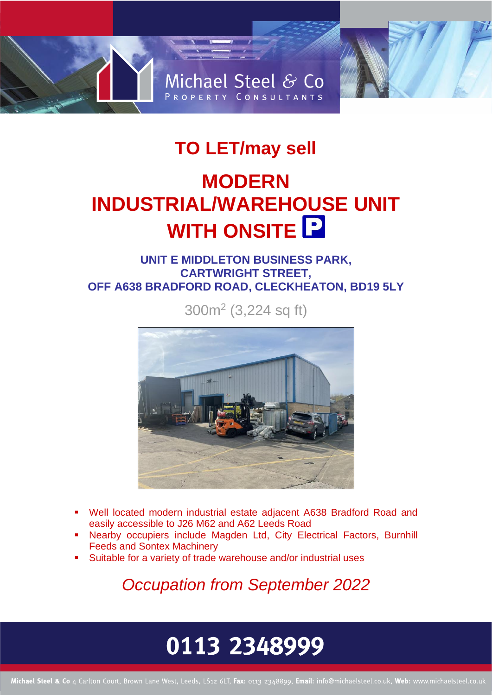# Michael Steel & Co PROPERTY CONSULTANTS

### **TO LET/may sell**

### **MODERN INDUSTRIAL/WAREHOUSE UNIT WITH ONSITE**

### **UNIT E MIDDLETON BUSINESS PARK, CARTWRIGHT STREET, OFF A638 BRADFORD ROAD, CLECKHEATON, BD19 5LY**

300m<sup>2</sup> (3,224 sq ft)



- Well located modern industrial estate adjacent A638 Bradford Road and easily accessible to J26 M62 and A62 Leeds Road
- Nearby occupiers include Magden Ltd, City Electrical Factors, Burnhill Feeds and Sontex Machinery
- Suitable for a variety of trade warehouse and/or industrial uses

*Occupation from September 2022*

## 0113 2348999

Michael Steel & Co 4 Carlton Court, Brown Lane West, Leeds, LS12 6LT, Fax: 0113 2348899, Email: info@michaelsteel.co.uk, Web: www.michaelsteel.co.uk